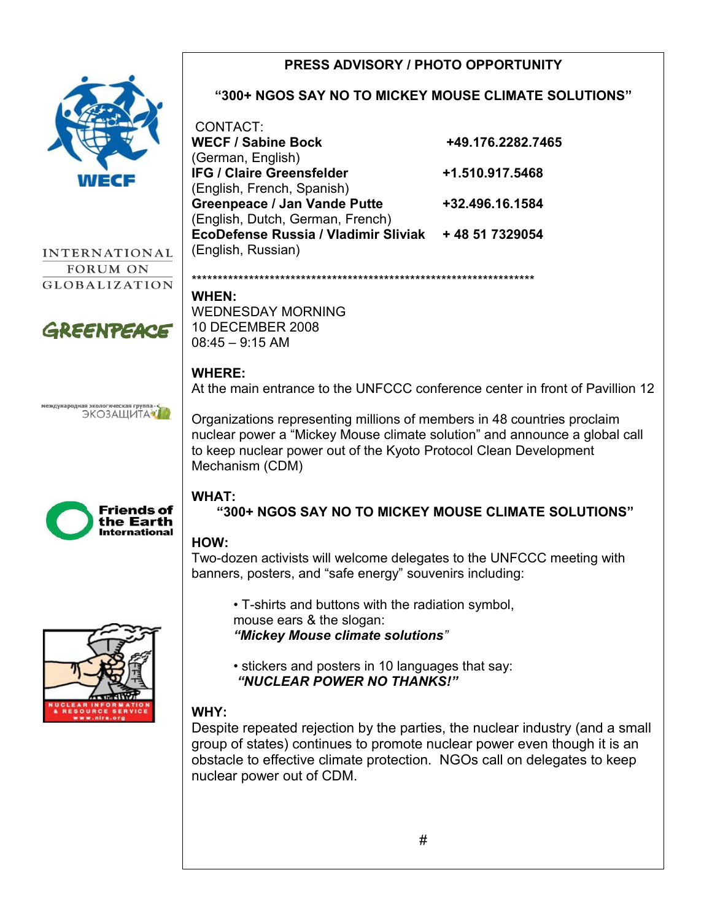#### **PRESS ADVISORY / PHOTO OPPORTUNITY "300+ NGOS SAY NO TO MICKEY MOUSE CLIMATE SOLUTIONS"** CONTACT: **WECF / Sabine Bock +49.176.2282.7465** (German, English) **IFG / Claire Greensfelder +1.510.917.5468** (English, French, Spanish) **Greenpeace / Jan Vande Putte +32.496.16.1584** (English, Dutch, German, French) **EcoDefense Russia / Vladimir Sliviak + 48 51 7329054** (English, Russian) **INTERNATIONAL** FORUM ON \*\*\*\*\*\*\*\*\*\*\*\*\*\*\*\*\*\*\*\*\*\*\*\*\*\*\*\*\*\*\*\*\*\*\*\*\*\*\*\*\*\*\*\*\*\*\*\*\*\*\*\*\*\*\*\*\*\*\*\*\*\*\*\*\*\* **GLOBALIZATION WHEN:**  WEDNESDAY MORNING 10 DECEMBER 2008 GREENPEACE 08:45 – 9:15 AM **WHERE:** At the main entrance to the UNFCCC conference center in front of Pavillion 12 еждународная экологическая группа ЭКОЗАЩИТА Organizations representing millions of members in 48 countries proclaim nuclear power a "Mickey Mouse climate solution" and announce a global call to keep nuclear power out of the Kyoto Protocol Clean Development Mechanism (CDM) **WHAT:**  Friends of **"300+ NGOS SAY NO TO MICKEY MOUSE CLIMATE SOLUTIONS"** the Earth **International HOW:**  Two-dozen activists will welcome delegates to the UNFCCC meeting with banners, posters, and "safe energy" souvenirs including: • T-shirts and buttons with the radiation symbol, mouse ears & the slogan: *"Mickey Mouse climate solutions"* • stickers and posters in 10 languages that say:  *"NUCLEAR POWER NO THANKS!"*  **WHY:** Despite repeated rejection by the parties, the nuclear industry (and a small group of states) continues to promote nuclear power even though it is an obstacle to effective climate protection. NGOs call on delegates to keep

nuclear power out of CDM.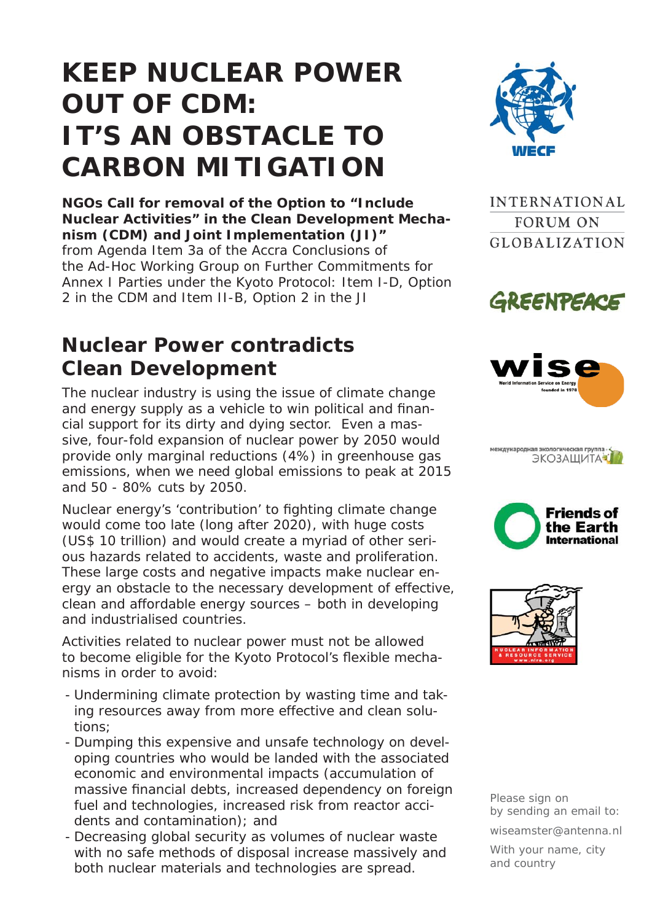# **KEEP NUCLEAR POWER OUT OF CDM: IT'S AN OBSTACLE TO CARBON MITIGATION**

**NGOs Call for removal of the Option to "Include Nuclear Activities" in the Clean Development Mechanism (CDM) and Joint Implementation (JI)"**  from Agenda Item 3a of the Accra Conclusions of the Ad-Hoc Working Group on Further Commitments for Annex I Parties under the Kyoto Protocol: Item I-D, Option 2 in the CDM and Item II-B, Option 2 in the JI

### **Nuclear Power contradicts Clean Development**

The nuclear industry is using the issue of climate change and energy supply as a vehicle to win political and financial support for its dirty and dying sector. Even a massive, four-fold expansion of nuclear power by 2050 would provide only marginal reductions (4%) in greenhouse gas emissions, when we need global emissions to peak at 2015 and 50 - 80% cuts by 2050.

Nuclear energy's 'contribution' to fighting climate change would come too late (long after 2020), with huge costs (US\$ 10 trillion) and would create a myriad of other serious hazards related to accidents, waste and proliferation. These large costs and negative impacts make nuclear energy an obstacle to the necessary development of effective, clean and affordable energy sources – both in developing and industrialised countries.

Activities related to nuclear power must not be allowed to become eligible for the Kyoto Protocol's flexible mechanisms in order to avoid:

- Undermining climate protection by wasting time and taking resources away from more effective and clean solutions;
- Dumping this expensive and unsafe technology on developing countries who would be landed with the associated economic and environmental impacts (accumulation of massive financial debts, increased dependency on foreign fuel and technologies, increased risk from reactor accidents and contamination); and
- Decreasing global security as volumes of nuclear waste with no safe methods of disposal increase massively and both nuclear materials and technologies are spread.



**INTERNATIONAL FORUM ON GLOBALIZATION** 





международная экологическая группа ЭКОЗАШИТА





*Please sign on by sending an email to: wiseamster@antenna.nl With your name, city and country*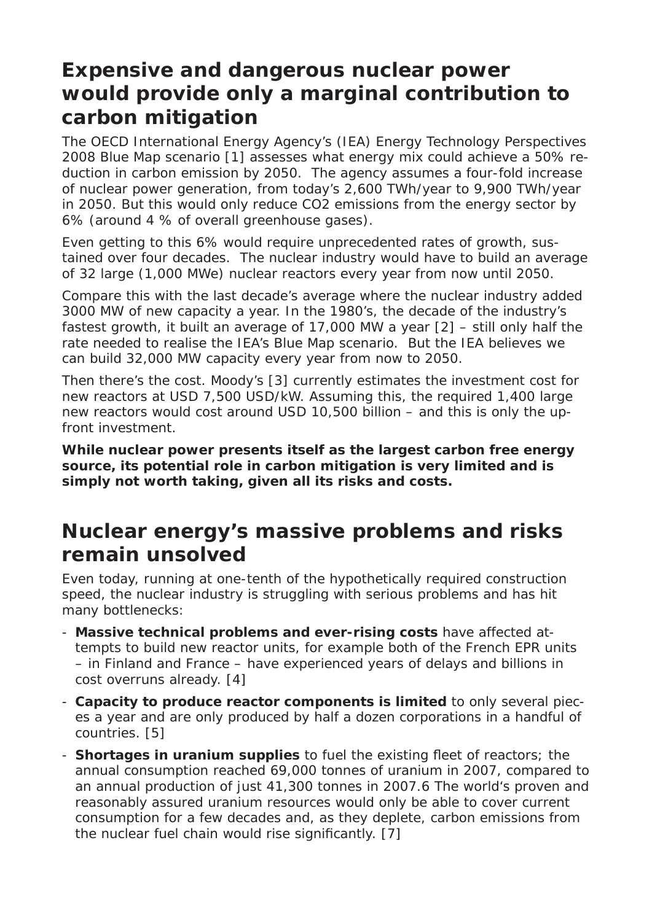## **Expensive and dangerous nuclear power would provide only a marginal contribution to carbon mitigation**

The OECD International Energy Agency's (IEA) Energy Technology Perspectives 2008 Blue Map scenario [1] assesses what energy mix could achieve a 50% reduction in carbon emission by 2050. The agency assumes a four-fold increase of nuclear power generation, from today's 2,600 TWh/year to 9,900 TWh/year in 2050. But this would only reduce CO2 emissions from the energy sector by 6% (around 4 % of overall greenhouse gases).

Even getting to this 6% would require unprecedented rates of growth, sustained over four decades. The nuclear industry would have to build an average of 32 large (1,000 MWe) nuclear reactors every year from now until 2050.

Compare this with the last decade's average where the nuclear industry added 3000 MW of new capacity a year. In the 1980's, the decade of the industry's fastest growth, it built an average of 17,000 MW a year [2] – still only half the rate needed to realise the IEA's Blue Map scenario. But the IEA believes we can build 32,000 MW capacity every year from now to 2050.

Then there's the cost. Moody's [3] currently estimates the investment cost for new reactors at USD 7,500 USD/kW. Assuming this, the required 1,400 large new reactors would cost around USD 10,500 billion – and this is only the upfront investment.

*While nuclear power presents itself as the largest carbon free energy source, its potential role in carbon mitigation is very limited and is simply not worth taking, given all its risks and costs.*

## **Nuclear energy's massive problems and risks remain unsolved**

Even today, running at one-tenth of the hypothetically required construction speed, the nuclear industry is struggling with serious problems and has hit many bottlenecks:

- **Massive technical problems and ever-rising costs** have affected attempts to build new reactor units, for example both of the French EPR units – in Finland and France – have experienced years of delays and billions in cost overruns already. [4]
- **Capacity to produce reactor components is limited** to only several pieces a year and are only produced by half a dozen corporations in a handful of countries. [5]
- **Shortages in uranium supplies** to fuel the existing fleet of reactors; the annual consumption reached 69,000 tonnes of uranium in 2007, compared to an annual production of just 41,300 tonnes in 2007.6 The world's proven and reasonably assured uranium resources would only be able to cover current consumption for a few decades and, as they deplete, carbon emissions from the nuclear fuel chain would rise significantly. [7]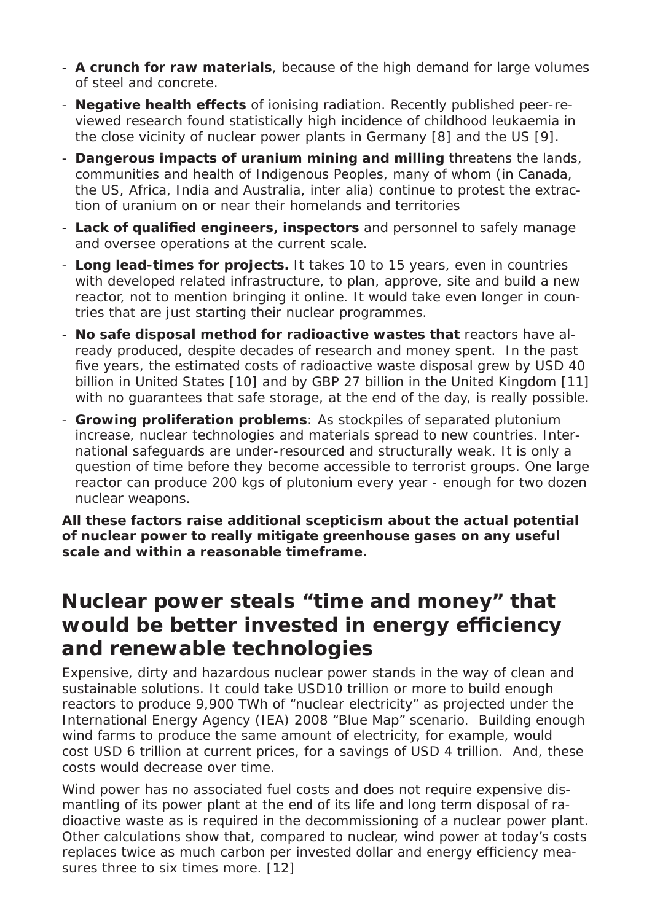- **A crunch for raw materials**, because of the high demand for large volumes of steel and concrete.
- **Negative health effects** of ionising radiation. Recently published peer-reviewed research found statistically high incidence of childhood leukaemia in the close vicinity of nuclear power plants in Germany [8] and the US [9].
- **Dangerous impacts of uranium mining and milling** threatens the lands, communities and health of Indigenous Peoples, many of whom (in Canada, the US, Africa, India and Australia, inter alia) continue to protest the extraction of uranium on or near their homelands and territories
- Lack of qualified engineers, inspectors and personnel to safely manage and oversee operations at the current scale.
- **Long lead-times for projects.** It takes 10 to 15 years, even in countries with developed related infrastructure, to plan, approve, site and build a new reactor, not to mention bringing it online. It would take even longer in countries that are just starting their nuclear programmes.
- - **No safe disposal method for radioactive wastes that** reactors have already produced, despite decades of research and money spent. In the past five years, the estimated costs of radioactive waste disposal grew by USD 40 billion in United States [10] and by GBP 27 billion in the United Kingdom [11] with no guarantees that safe storage, at the end of the day, is really possible.
- **Growing proliferation problems**: As stockpiles of separated plutonium increase, nuclear technologies and materials spread to new countries. International safeguards are under-resourced and structurally weak. It is only a question of time before they become accessible to terrorist groups. One large reactor can produce 200 kgs of plutonium every year - enough for two dozen nuclear weapons.

*All these factors raise additional scepticism about the actual potential of nuclear power to really mitigate greenhouse gases on any useful scale and within a reasonable timeframe.*

### **Nuclear power steals "time and money" that**  would be better invested in energy efficiency **and renewable technologies**

Expensive, dirty and hazardous nuclear power stands in the way of clean and sustainable solutions. It could take USD10 trillion or more to build enough reactors to produce 9,900 TWh of "nuclear electricity" as projected under the International Energy Agency (IEA) 2008 "Blue Map" scenario. Building enough wind farms to produce the same amount of electricity, for example, would cost USD 6 trillion at current prices, for a savings of USD 4 trillion. And, these costs would decrease over time.

Wind power has no associated fuel costs and does not require expensive dismantling of its power plant at the end of its life and long term disposal of radioactive waste as is required in the decommissioning of a nuclear power plant. Other calculations show that, compared to nuclear, wind power at today's costs replaces twice as much carbon per invested dollar and energy efficiency measures three to six times more. [12]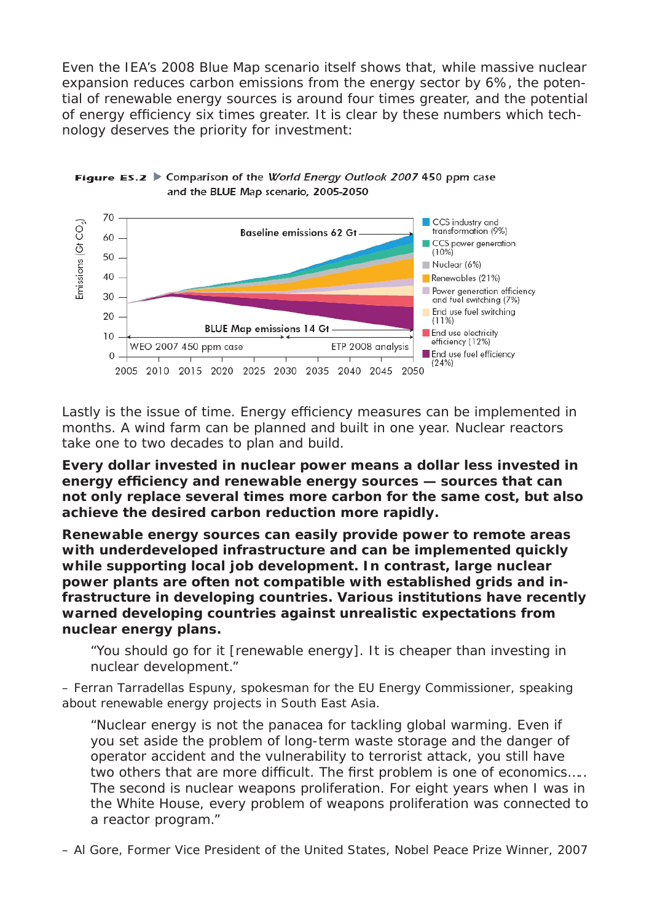Even the IEA's 2008 Blue Map scenario itself shows that, while massive nuclear expansion reduces carbon emissions from the energy sector by 6%, the potential of renewable energy sources is around four times greater, and the potential of energy efficiency six times greater. It is clear by these numbers which technology deserves the priority for investment:





Lastly is the issue of time. Energy efficiency measures can be implemented in months. A wind farm can be planned and built in one year. Nuclear reactors take one to two decades to plan and build.

*Every dollar invested in nuclear power means a dollar less invested in energy effi ciency and renewable energy sources — sources that can not only replace several times more carbon for the same cost, but also achieve the desired carbon reduction more rapidly.*

*Renewable energy sources can easily provide power to remote areas with underdeveloped infrastructure and can be implemented quickly while supporting local job development. In contrast, large nuclear power plants are often not compatible with established grids and infrastructure in developing countries. Various institutions have recently warned developing countries against unrealistic expectations from nuclear energy plans.*

"You should go for it [renewable energy]. It is cheaper than investing in nuclear development."

*– Ferran Tarradellas Espuny, spokesman for the EU Energy Commissioner, speaking about renewable energy projects in South East Asia.*

"Nuclear energy is not the panacea for tackling global warming. Even if you set aside the problem of long-term waste storage and the danger of operator accident and the vulnerability to terrorist attack, you still have two others that are more difficult. The first problem is one of economics..... The second is nuclear weapons proliferation. For eight years when I was in the White House, every problem of weapons proliferation was connected to a reactor program."

*– Al Gore, Former Vice President of the United States, Nobel Peace Prize Winner, 2007*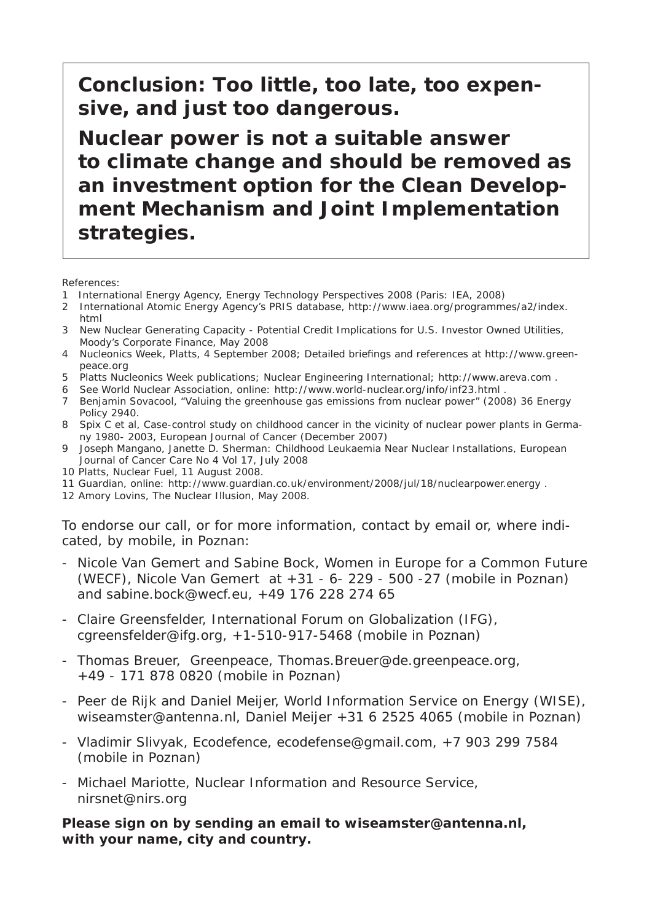**Conclusion: Too little, too late, too expensive, and just too dangerous.**

**Nuclear power is not a suitable answer to climate change and should be removed as an investment option for the Clean Development Mechanism and Joint Implementation strategies.**

References:

- 1 International Energy Agency, Energy Technology Perspectives 2008 (Paris: IEA, 2008)
- 2 International Atomic Energy Agency's PRIS database, http://www.iaea.org/programmes/a2/index. html
- 3 New Nuclear Generating Capacity Potential Credit Implications for U.S. Investor Owned Utilities, Moody's Corporate Finance, May 2008
- 4 Nucleonics Week, Platts, 4 September 2008; Detailed briefings and references at http://www.greenpeace.org
- 5 Platts Nucleonics Week publications; Nuclear Engineering International; http://www.areva.com .
- 6 See World Nuclear Association, online: http://www.world-nuclear.org/info/inf23.html .
- 7 Benjamin Sovacool, "Valuing the greenhouse gas emissions from nuclear power" (2008) 36 Energy Policy 2940.
- 8 Spix C et al, Case-control study on childhood cancer in the vicinity of nuclear power plants in Germany 1980- 2003, European Journal of Cancer (December 2007)
- 9 Joseph Mangano, Janette D. Sherman: Childhood Leukaemia Near Nuclear Installations, European Journal of Cancer Care No 4 Vol 17, July 2008
- 10 Platts, Nuclear Fuel, 11 August 2008.
- 11 Guardian, online: http://www.guardian.co.uk/environment/2008/jul/18/nuclearpower.energy .
- 12 Amory Lovins, The Nuclear Illusion, May 2008.

To endorse our call, or for more information, contact by email or, where indicated, by mobile, in Poznan:

- Nicole Van Gemert and Sabine Bock, Women in Europe for a Common Future (WECF), Nicole Van Gemert at +31 - 6- 229 - 500 -27 (mobile in Poznan) and sabine.bock@wecf.eu, +49 176 228 274 65
- Claire Greensfelder, International Forum on Globalization (IFG), cgreensfelder@ifg.org, +1-510-917-5468 (mobile in Poznan)
- Thomas Breuer, Greenpeace, Thomas.Breuer@de.greenpeace.org, +49 - 171 878 0820 (mobile in Poznan)
- Peer de Rijk and Daniel Meijer, World Information Service on Energy (WISE), wiseamster@antenna.nl, Daniel Meijer +31 6 2525 4065 (mobile in Poznan)
- Vladimir Slivyak, Ecodefence, ecodefense@gmail.com, +7 903 299 7584 (mobile in Poznan)
- Michael Mariotte, Nuclear Information and Resource Service, nirsnet@nirs.org

#### **Please sign on by sending an email to wiseamster@antenna.nl, with your name, city and country.**